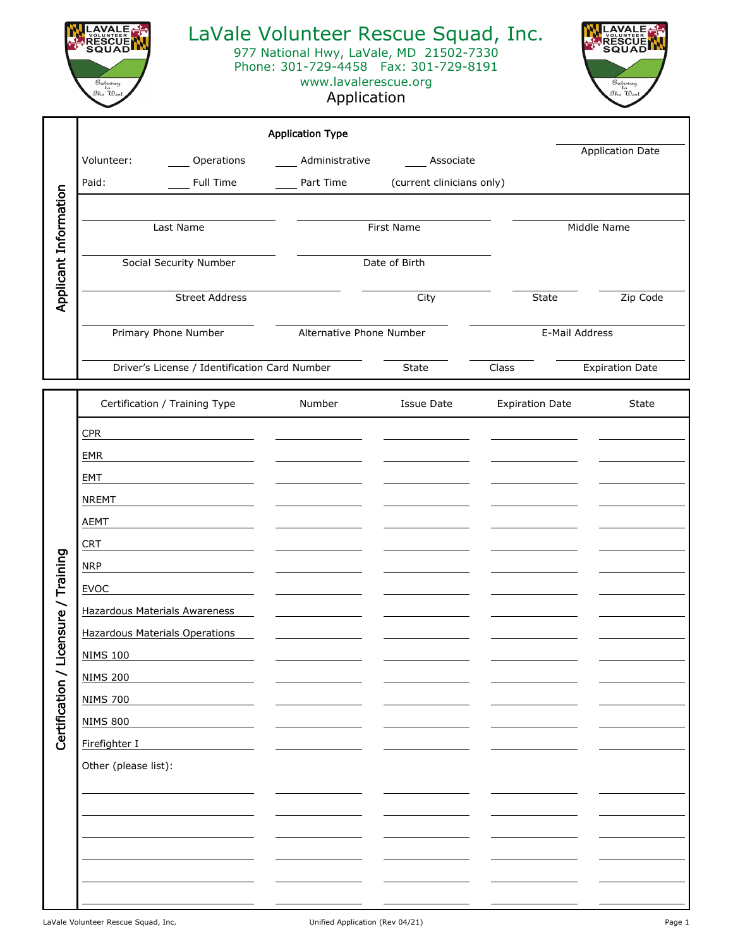

## LaVale Volunteer Rescue Squad, Inc.

977 National Hwy, LaVale, MD 21502-7330

Phone: 301-729-4458 Fax: 301-729-8191 www.lavalerescue.org

## Application



|             |                                               | <b>Application Type</b>  |                           |                |                         |  |
|-------------|-----------------------------------------------|--------------------------|---------------------------|----------------|-------------------------|--|
|             | Volunteer:<br>Operations                      | Administrative           | Associate                 |                | <b>Application Date</b> |  |
| Paid:       | <b>Full Time</b>                              | Part Time                | (current clinicians only) |                |                         |  |
| Information | Last Name                                     |                          | <b>First Name</b>         |                | Middle Name             |  |
|             | Social Security Number                        |                          | Date of Birth             |                |                         |  |
| Applicant   | <b>Street Address</b>                         |                          | City                      | <b>State</b>   | Zip Code                |  |
|             | Primary Phone Number                          | Alternative Phone Number |                           | E-Mail Address |                         |  |
|             | Driver's License / Identification Card Number |                          | <b>State</b><br>Class     |                | <b>Expiration Date</b>  |  |

|                                      | Certification / Training Type         | Number | <b>Issue Date</b> | <b>Expiration Date</b> | State |
|--------------------------------------|---------------------------------------|--------|-------------------|------------------------|-------|
|                                      | CPR                                   |        |                   |                        |       |
| Certification / Licensure / Training | EMR                                   |        |                   |                        |       |
|                                      | EMT                                   |        |                   |                        |       |
|                                      | <b>NREMT</b>                          |        |                   |                        |       |
|                                      | <b>AEMT</b>                           |        |                   |                        |       |
|                                      | <b>CRT</b>                            |        |                   |                        |       |
|                                      | <b>NRP</b>                            |        |                   |                        |       |
|                                      | EVOC                                  |        |                   |                        |       |
|                                      | <b>Hazardous Materials Awareness</b>  |        |                   |                        |       |
|                                      | <b>Hazardous Materials Operations</b> |        |                   |                        |       |
|                                      | <b>NIMS 100</b>                       |        |                   |                        |       |
|                                      | <b>NIMS 200</b>                       |        |                   |                        |       |
|                                      | <b>NIMS 700</b>                       |        |                   |                        |       |
|                                      | <b>NIMS 800</b>                       |        |                   |                        |       |
|                                      | Firefighter I                         |        |                   |                        |       |
|                                      | Other (please list):                  |        |                   |                        |       |
|                                      |                                       |        |                   |                        |       |
|                                      |                                       |        |                   |                        |       |
|                                      |                                       |        |                   |                        |       |
|                                      |                                       |        |                   |                        |       |
|                                      |                                       |        |                   |                        |       |
|                                      |                                       |        |                   |                        |       |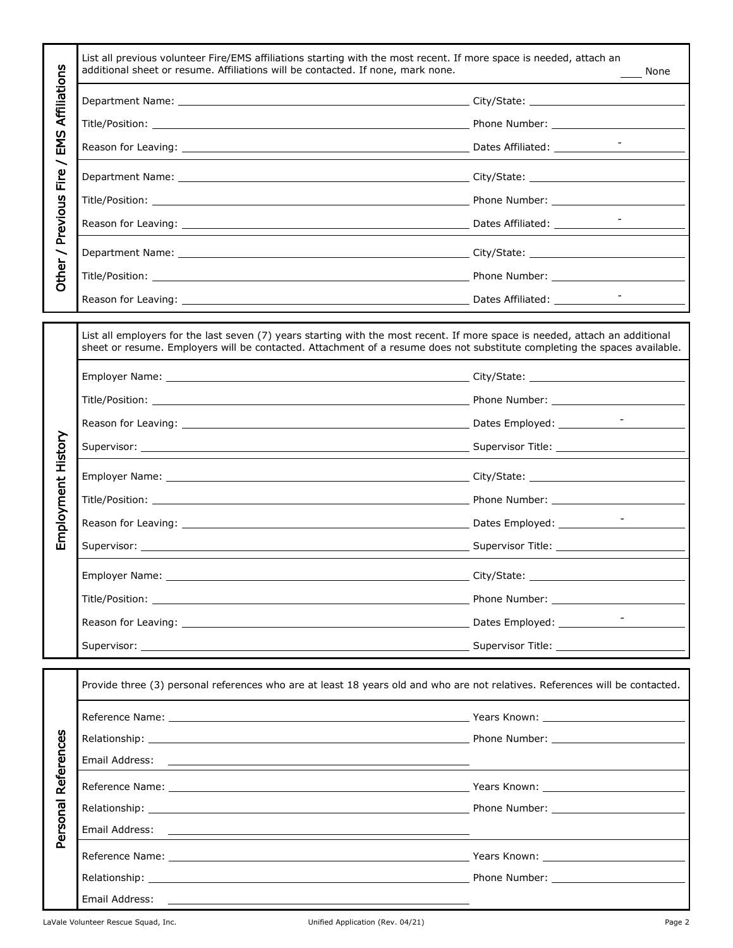|                                     | List all previous volunteer Fire/EMS affiliations starting with the most recent. If more space is needed, attach an<br>additional sheet or resume. Affiliations will be contacted. If none, mark none.<br>None                                            |        |  |  |
|-------------------------------------|-----------------------------------------------------------------------------------------------------------------------------------------------------------------------------------------------------------------------------------------------------------|--------|--|--|
| Affiliations                        |                                                                                                                                                                                                                                                           |        |  |  |
|                                     |                                                                                                                                                                                                                                                           |        |  |  |
| EMS                                 |                                                                                                                                                                                                                                                           |        |  |  |
| $\overline{\phantom{0}}$<br>e<br>ii |                                                                                                                                                                                                                                                           |        |  |  |
|                                     |                                                                                                                                                                                                                                                           |        |  |  |
| Previous                            |                                                                                                                                                                                                                                                           |        |  |  |
|                                     |                                                                                                                                                                                                                                                           |        |  |  |
| Other /                             |                                                                                                                                                                                                                                                           |        |  |  |
|                                     |                                                                                                                                                                                                                                                           |        |  |  |
|                                     | List all employers for the last seven (7) years starting with the most recent. If more space is needed, attach an additional<br>sheet or resume. Employers will be contacted. Attachment of a resume does not substitute completing the spaces available. |        |  |  |
|                                     |                                                                                                                                                                                                                                                           |        |  |  |
|                                     |                                                                                                                                                                                                                                                           |        |  |  |
|                                     |                                                                                                                                                                                                                                                           |        |  |  |
|                                     |                                                                                                                                                                                                                                                           |        |  |  |
| Employment History                  |                                                                                                                                                                                                                                                           |        |  |  |
|                                     |                                                                                                                                                                                                                                                           |        |  |  |
|                                     | Reason for Leaving: Leaving: Leaving: Leaving: Leaving Paties & Leaving Paties & Leaving Paties & Leaving Paties & Leaving Paties & Leaving Paties & Leaving Paties & Leaving Paties & Leaving Paties & Leaving Paties & Leavi                            |        |  |  |
|                                     |                                                                                                                                                                                                                                                           |        |  |  |
|                                     |                                                                                                                                                                                                                                                           |        |  |  |
|                                     |                                                                                                                                                                                                                                                           |        |  |  |
|                                     |                                                                                                                                                                                                                                                           |        |  |  |
|                                     |                                                                                                                                                                                                                                                           |        |  |  |
|                                     | Provide three (3) personal references who are at least 18 years old and who are not relatives. References will be contacted.                                                                                                                              |        |  |  |
|                                     |                                                                                                                                                                                                                                                           |        |  |  |
|                                     |                                                                                                                                                                                                                                                           |        |  |  |
|                                     |                                                                                                                                                                                                                                                           |        |  |  |
|                                     |                                                                                                                                                                                                                                                           |        |  |  |
|                                     |                                                                                                                                                                                                                                                           |        |  |  |
| Personal References                 |                                                                                                                                                                                                                                                           |        |  |  |
|                                     |                                                                                                                                                                                                                                                           |        |  |  |
|                                     |                                                                                                                                                                                                                                                           |        |  |  |
|                                     |                                                                                                                                                                                                                                                           |        |  |  |
|                                     | LaVale Volunteer Rescue Squad, Inc. The Contract of the Contract Unified Application (Rev. 04/21)                                                                                                                                                         | Page 2 |  |  |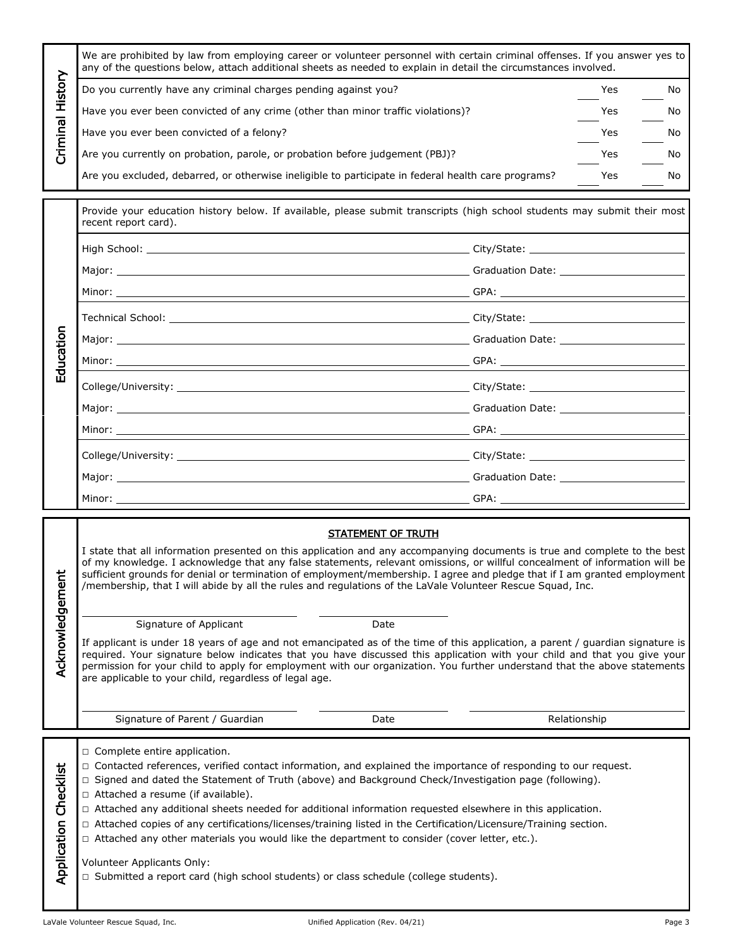|                       | We are prohibited by law from employing career or volunteer personnel with certain criminal offenses. If you answer yes to<br>any of the questions below, attach additional sheets as needed to explain in detail the circumstances involved.                                                                                                                                                                                                                                                                                                                                                                                                                                                                                                                                    |              |    |  |  |  |
|-----------------------|----------------------------------------------------------------------------------------------------------------------------------------------------------------------------------------------------------------------------------------------------------------------------------------------------------------------------------------------------------------------------------------------------------------------------------------------------------------------------------------------------------------------------------------------------------------------------------------------------------------------------------------------------------------------------------------------------------------------------------------------------------------------------------|--------------|----|--|--|--|
| Criminal History      | Do you currently have any criminal charges pending against you?                                                                                                                                                                                                                                                                                                                                                                                                                                                                                                                                                                                                                                                                                                                  | Yes.         | No |  |  |  |
|                       | Have you ever been convicted of any crime (other than minor traffic violations)?                                                                                                                                                                                                                                                                                                                                                                                                                                                                                                                                                                                                                                                                                                 | Yes          | No |  |  |  |
|                       | Have you ever been convicted of a felony?                                                                                                                                                                                                                                                                                                                                                                                                                                                                                                                                                                                                                                                                                                                                        | Yes          | No |  |  |  |
|                       | Are you currently on probation, parole, or probation before judgement (PBJ)?                                                                                                                                                                                                                                                                                                                                                                                                                                                                                                                                                                                                                                                                                                     | Yes          | No |  |  |  |
|                       | Are you excluded, debarred, or otherwise ineligible to participate in federal health care programs?                                                                                                                                                                                                                                                                                                                                                                                                                                                                                                                                                                                                                                                                              | Yes          | No |  |  |  |
|                       | Provide your education history below. If available, please submit transcripts (high school students may submit their most<br>recent report card).                                                                                                                                                                                                                                                                                                                                                                                                                                                                                                                                                                                                                                |              |    |  |  |  |
|                       |                                                                                                                                                                                                                                                                                                                                                                                                                                                                                                                                                                                                                                                                                                                                                                                  |              |    |  |  |  |
|                       |                                                                                                                                                                                                                                                                                                                                                                                                                                                                                                                                                                                                                                                                                                                                                                                  |              |    |  |  |  |
|                       |                                                                                                                                                                                                                                                                                                                                                                                                                                                                                                                                                                                                                                                                                                                                                                                  |              |    |  |  |  |
|                       |                                                                                                                                                                                                                                                                                                                                                                                                                                                                                                                                                                                                                                                                                                                                                                                  |              |    |  |  |  |
|                       |                                                                                                                                                                                                                                                                                                                                                                                                                                                                                                                                                                                                                                                                                                                                                                                  |              |    |  |  |  |
| Education             | $GPA:$ $\overline{GPA}:$ $\overline{GPA}:$ $\overline{GPA}:$ $\overline{GPA}:$ $\overline{GPA}:$ $\overline{GPA}:$ $\overline{GPA}:$ $\overline{GPA}:$ $\overline{GPA}:$ $\overline{GPA}:$ $\overline{GPA}:$ $\overline{GPA}:$ $\overline{GPA}:$ $\overline{GPA}:$ $\overline{GPA}:$ $\overline{GPA}:$ $\overline{GPA}:$ $\overline{GPA}:$ $\overline{GPA}:$ $\overline{GPA}:$ $\overline{GPA}:$ $\overline{$                                                                                                                                                                                                                                                                                                                                                                    |              |    |  |  |  |
|                       |                                                                                                                                                                                                                                                                                                                                                                                                                                                                                                                                                                                                                                                                                                                                                                                  |              |    |  |  |  |
|                       |                                                                                                                                                                                                                                                                                                                                                                                                                                                                                                                                                                                                                                                                                                                                                                                  |              |    |  |  |  |
|                       |                                                                                                                                                                                                                                                                                                                                                                                                                                                                                                                                                                                                                                                                                                                                                                                  |              |    |  |  |  |
|                       |                                                                                                                                                                                                                                                                                                                                                                                                                                                                                                                                                                                                                                                                                                                                                                                  |              |    |  |  |  |
|                       |                                                                                                                                                                                                                                                                                                                                                                                                                                                                                                                                                                                                                                                                                                                                                                                  |              |    |  |  |  |
|                       |                                                                                                                                                                                                                                                                                                                                                                                                                                                                                                                                                                                                                                                                                                                                                                                  |              |    |  |  |  |
|                       |                                                                                                                                                                                                                                                                                                                                                                                                                                                                                                                                                                                                                                                                                                                                                                                  |              |    |  |  |  |
|                       |                                                                                                                                                                                                                                                                                                                                                                                                                                                                                                                                                                                                                                                                                                                                                                                  |              |    |  |  |  |
|                       | STATEMENT OF TRUTH<br>I state that all information presented on this application and any accompanying documents is true and complete to the best<br>of my knowledge. I acknowledge that any false statements, relevant omissions, or willful concealment of information will be<br>sufficient grounds for denial or termination of employment/membership. I agree and pledge that if I am granted employment<br>/membership, that I will abide by all the rules and regulations of the LaVale Volunteer Rescue Squad, Inc.                                                                                                                                                                                                                                                       |              |    |  |  |  |
|                       | Signature of Applicant<br>Date                                                                                                                                                                                                                                                                                                                                                                                                                                                                                                                                                                                                                                                                                                                                                   |              |    |  |  |  |
| Acknowledgement       | If applicant is under 18 years of age and not emancipated as of the time of this application, a parent / guardian signature is<br>required. Your signature below indicates that you have discussed this application with your child and that you give your<br>permission for your child to apply for employment with our organization. You further understand that the above statements<br>are applicable to your child, regardless of legal age.                                                                                                                                                                                                                                                                                                                                |              |    |  |  |  |
|                       | Signature of Parent / Guardian<br>Date                                                                                                                                                                                                                                                                                                                                                                                                                                                                                                                                                                                                                                                                                                                                           | Relationship |    |  |  |  |
| Application Checklist | $\Box$ Complete entire application.<br>□ Contacted references, verified contact information, and explained the importance of responding to our request.<br>$\Box$ Signed and dated the Statement of Truth (above) and Background Check/Investigation page (following).<br>□ Attached a resume (if available).<br>□ Attached any additional sheets needed for additional information requested elsewhere in this application.<br>□ Attached copies of any certifications/licenses/training listed in the Certification/Licensure/Training section.<br>$\Box$ Attached any other materials you would like the department to consider (cover letter, etc.).<br>Volunteer Applicants Only:<br>□ Submitted a report card (high school students) or class schedule (college students). |              |    |  |  |  |

| STATEMENT OF TRUTH                                                                                                                                                                                                                                                                                                                                                                                                                                                                                   |
|------------------------------------------------------------------------------------------------------------------------------------------------------------------------------------------------------------------------------------------------------------------------------------------------------------------------------------------------------------------------------------------------------------------------------------------------------------------------------------------------------|
| I state that all information presented on this application and any accompanying documents is true and complete to the best<br>of my knowledge. I acknowledge that any false statements, relevant omissions, or willful concealment of information will be<br>sufficient grounds for denial or termination of employment/membership. I agree and pledge that if I am granted employment<br>/membership, that I will abide by all the rules and regulations of the LaVale Volunteer Rescue Squad, Inc. |

- □ Complete entire application.
- □ Contacted references, verified contact information, and explained the importance of responding to our request.
- □ Signed and dated the Statement of Truth (above) and Background Check/Investigation page (following).
- Application Checklist □ Attached a resume (if available).
	- □ Attached any additional sheets needed for additional information requested elsewhere in this application.
	- □ Attached copies of any certifications/licenses/training listed in the Certification/Licensure/Training section.
	- □ Attached any other materials you would like the department to consider (cover letter, etc.).